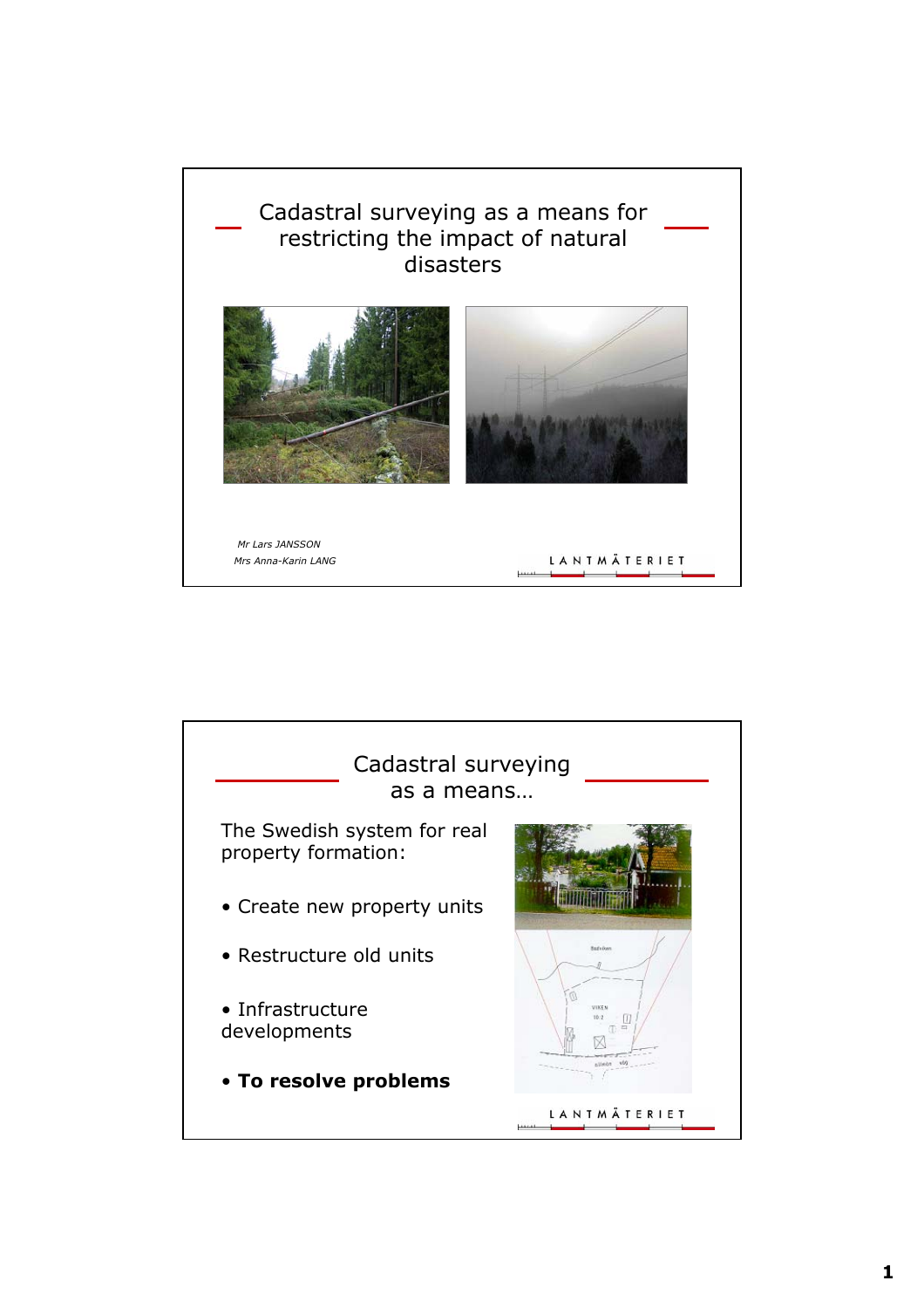

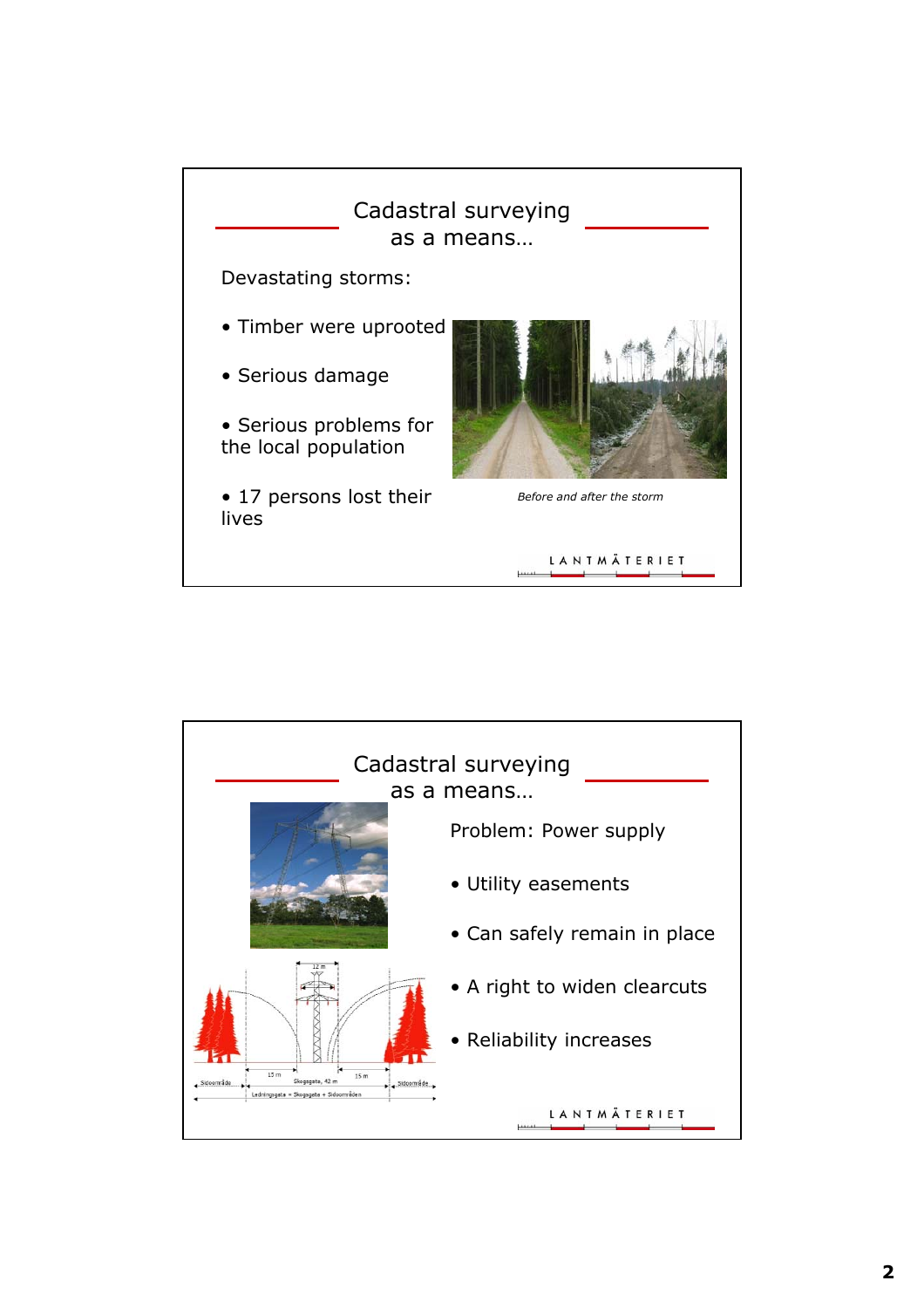

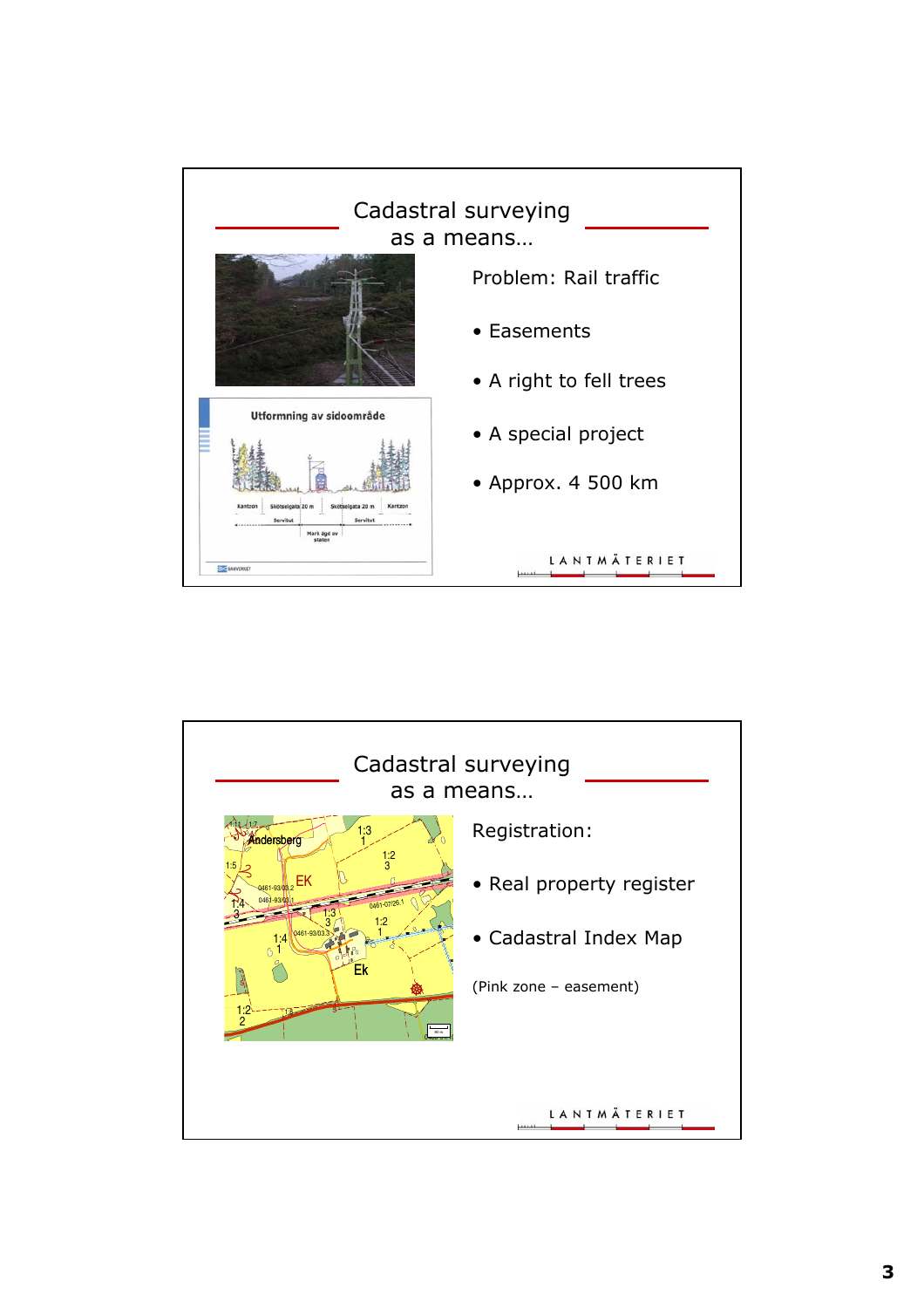

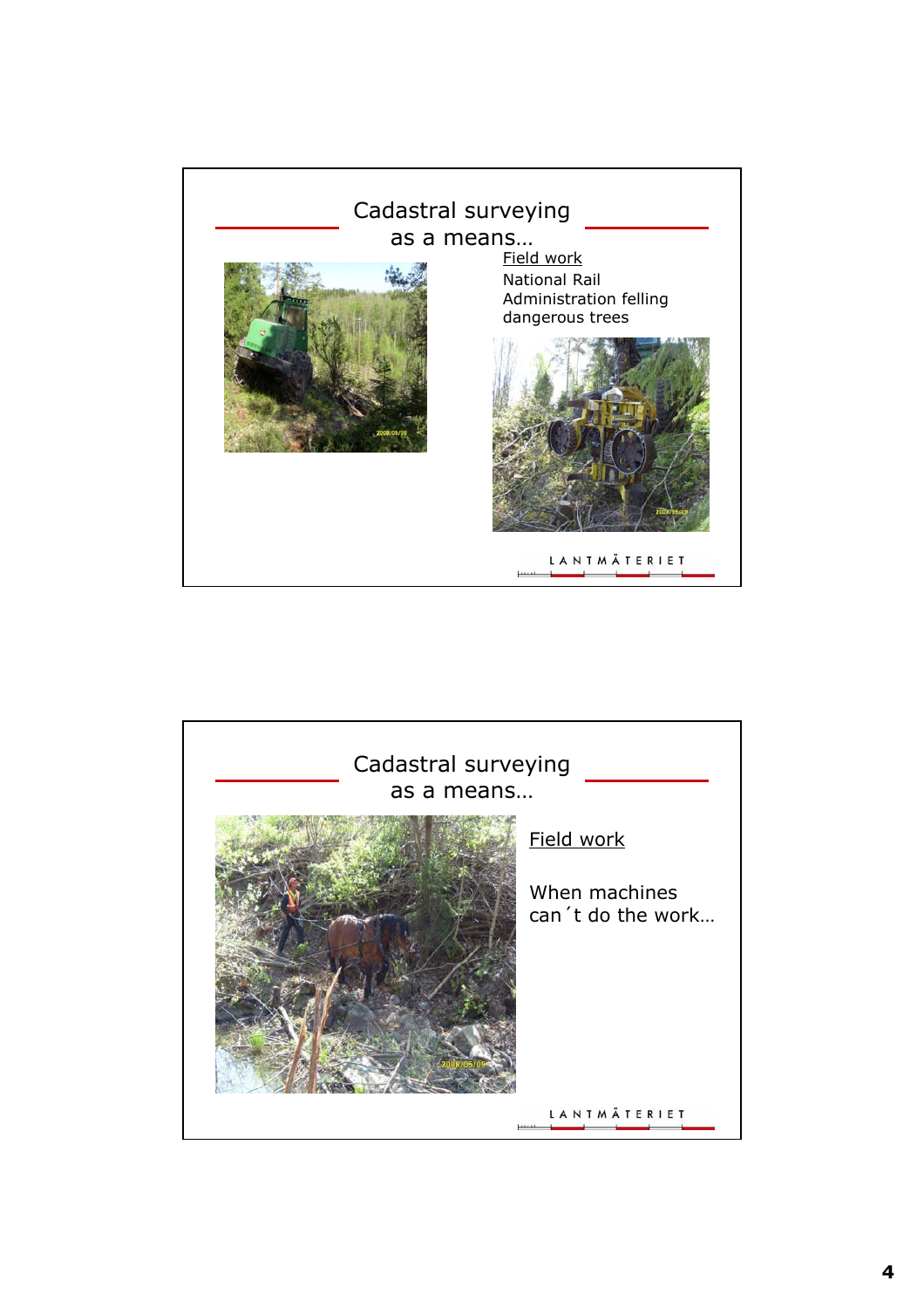

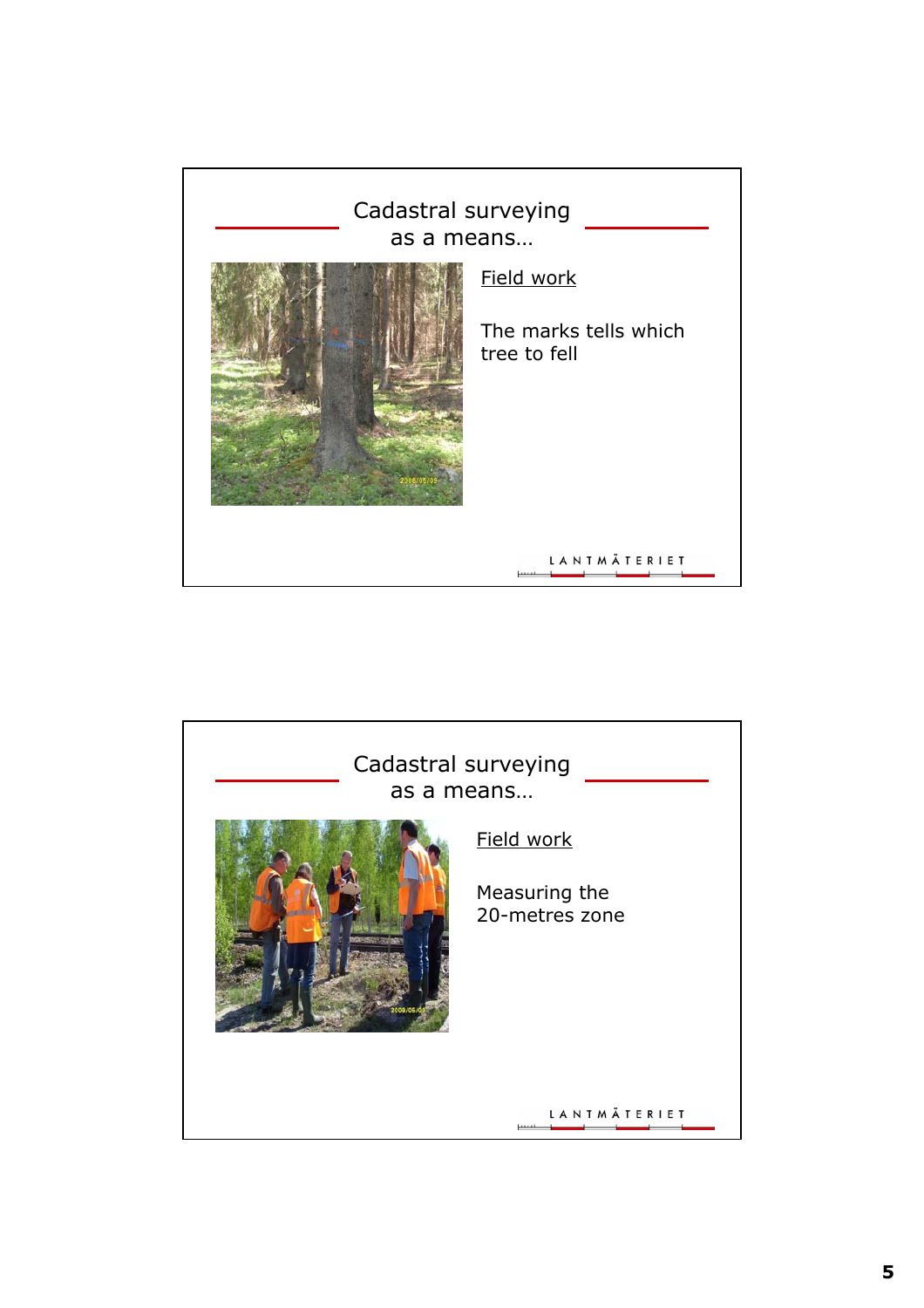

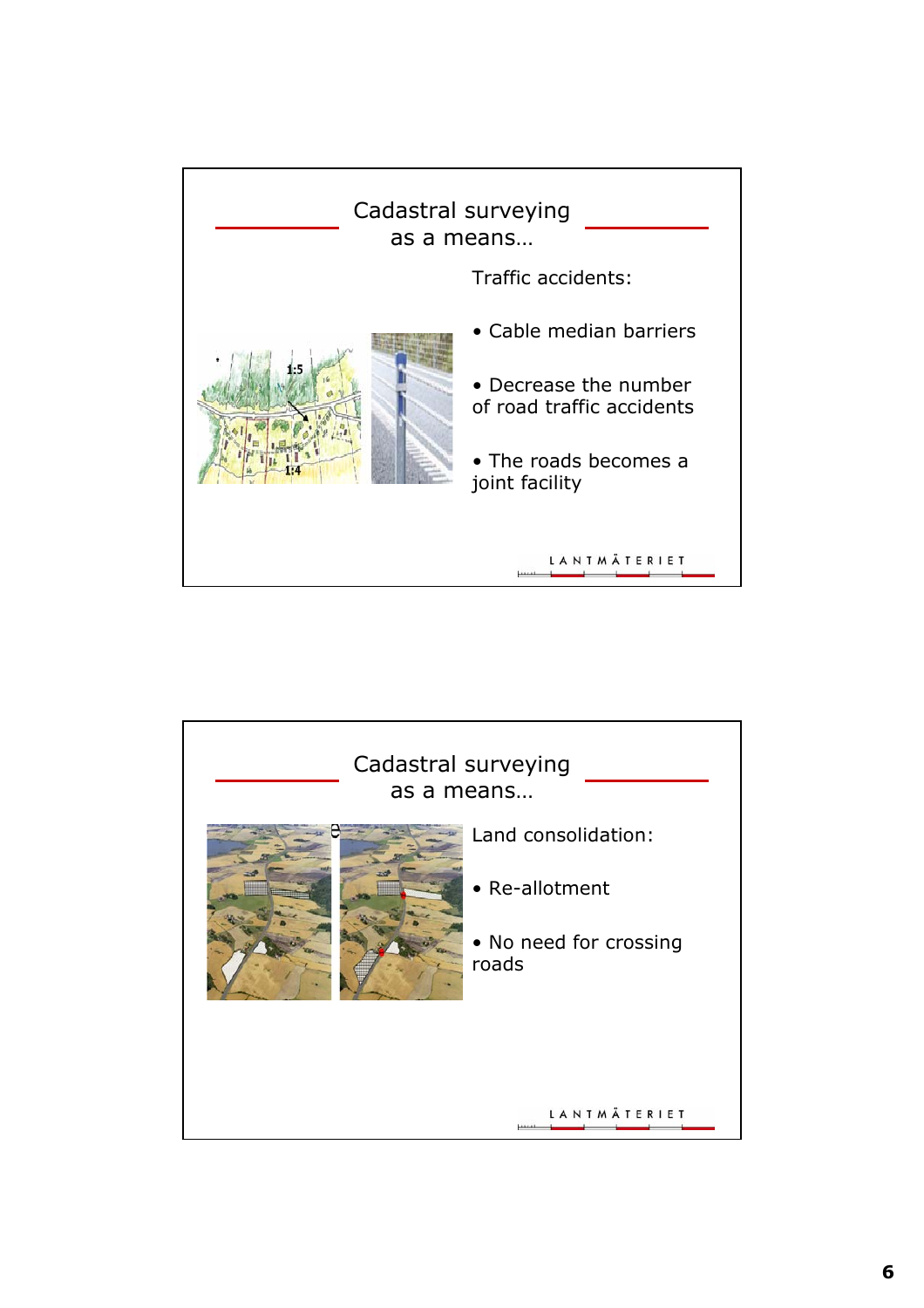